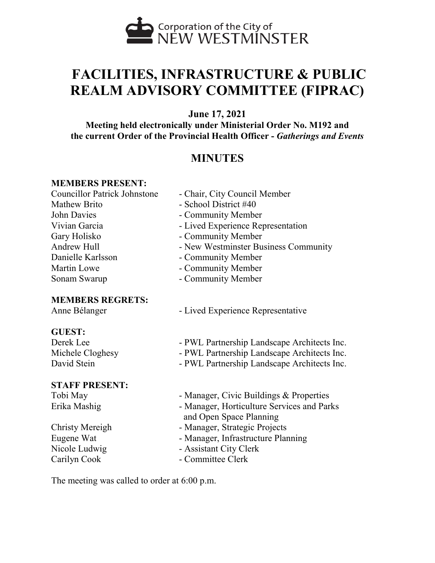

# **FACILITIES, INFRASTRUCTURE & PUBLIC REALM ADVISORY COMMITTEE (FIPRAC)**

**June 17, 2021**

**Meeting held electronically under Ministerial Order No. M192 and the current Order of the Provincial Health Officer -** *Gatherings and Events*

# **MINUTES**

### **MEMBERS PRESENT:**

Mathew Brito - School District #40 John Davies **- Community Member** Gary Holisko - Community Member Danielle Karlsson - Community Member Martin Lowe **- Community Member** Sonam Swarup - Community Member

#### **MEMBERS REGRETS:**

### **GUEST:**

#### **STAFF PRESENT:**

- Councillor Patrick Johnstone Chair, City Council Member
	-
	-
- Vivian Garcia  **Lived Experience Representation** 
	-
- Andrew Hull New Westminster Business Community
	-
	-
	-
- Anne Bélanger Lived Experience Representative
- Derek Lee PWL Partnership Landscape Architects Inc.
- Michele Cloghesy PWL Partnership Landscape Architects Inc.
- David Stein PWL Partnership Landscape Architects Inc.
- Tobi May  **Manager, Civic Buildings & Properties**
- Erika Mashig  **Manager**, Horticulture Services and Parks and Open Space Planning
- Christy Mereigh Manager, Strategic Projects
- Eugene Wat Manager, Infrastructure Planning
- Nicole Ludwig Assistant City Clerk
- Carilyn Cook Committee Clerk

The meeting was called to order at 6:00 p.m.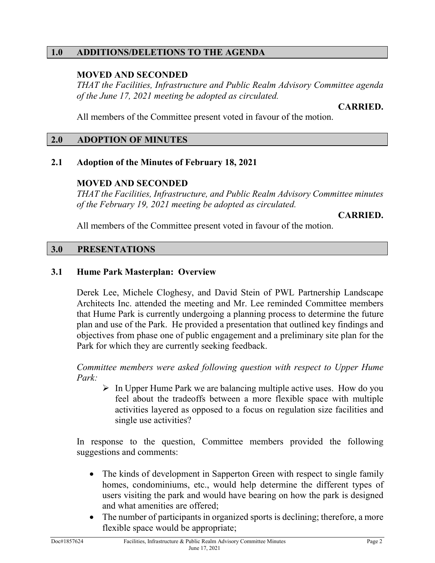### **1.0 ADDITIONS/DELETIONS TO THE AGENDA**

# **MOVED AND SECONDED**

*THAT the Facilities, Infrastructure and Public Realm Advisory Committee agenda of the June 17, 2021 meeting be adopted as circulated.* 

**CARRIED.**

All members of the Committee present voted in favour of the motion.

#### **2.0 ADOPTION OF MINUTES**

### **2.1 Adoption of the Minutes of February 18, 2021**

### **MOVED AND SECONDED**

*THAT the Facilities, Infrastructure, and Public Realm Advisory Committee minutes of the February 19, 2021 meeting be adopted as circulated.* 

**CARRIED.**

All members of the Committee present voted in favour of the motion.

### **3.0 PRESENTATIONS**

# **3.1 Hume Park Masterplan: Overview**

Derek Lee, Michele Cloghesy, and David Stein of PWL Partnership Landscape Architects Inc. attended the meeting and Mr. Lee reminded Committee members that Hume Park is currently undergoing a planning process to determine the future plan and use of the Park. He provided a presentation that outlined key findings and objectives from phase one of public engagement and a preliminary site plan for the Park for which they are currently seeking feedback.

*Committee members were asked following question with respect to Upper Hume Park:* 

 $\triangleright$  In Upper Hume Park we are balancing multiple active uses. How do you feel about the tradeoffs between a more flexible space with multiple activities layered as opposed to a focus on regulation size facilities and single use activities?

In response to the question, Committee members provided the following suggestions and comments:

- The kinds of development in Sapperton Green with respect to single family homes, condominiums, etc., would help determine the different types of users visiting the park and would have bearing on how the park is designed and what amenities are offered;
- The number of participants in organized sports is declining; therefore, a more flexible space would be appropriate;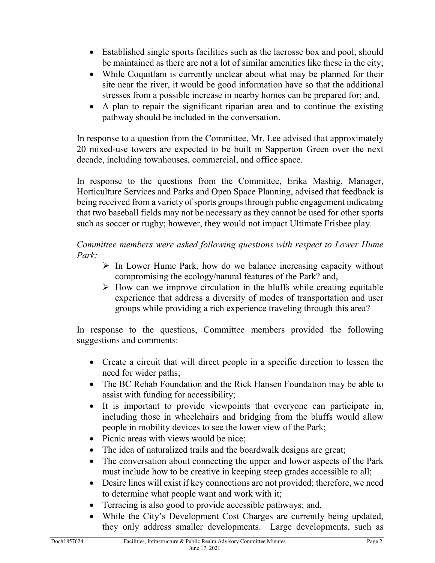- Established single sports facilities such as the lacrosse box and pool, should be maintained as there are not a lot of similar amenities like these in the city;
- While Coquitlam is currently unclear about what may be planned for their site near the river, it would be good information have so that the additional stresses from a possible increase in nearby homes can be prepared for; and,
- A plan to repair the significant riparian area and to continue the existing pathway should be included in the conversation.

In response to a question from the Committee, Mr. Lee advised that approximately 20 mixed-use towers are expected to be built in Sapperton Green over the next decade, including townhouses, commercial, and office space.

In response to the questions from the Committee, Erika Mashig, Manager, Horticulture Services and Parks and Open Space Planning, advised that feedback is being received from a variety of sports groups through public engagement indicating that two baseball fields may not be necessary as they cannot be used for other sports such as soccer or rugby; however, they would not impact Ultimate Frisbee play.

*Committee members were asked following questions with respect to Lower Hume Park:* 

- $\triangleright$  In Lower Hume Park, how do we balance increasing capacity without compromising the ecology/natural features of the Park? and,
- $\triangleright$  How can we improve circulation in the bluffs while creating equitable experience that address a diversity of modes of transportation and user groups while providing a rich experience traveling through this area?

In response to the questions, Committee members provided the following suggestions and comments:

- Create a circuit that will direct people in a specific direction to lessen the need for wider paths;
- The BC Rehab Foundation and the Rick Hansen Foundation may be able to assist with funding for accessibility;
- It is important to provide viewpoints that everyone can participate in, including those in wheelchairs and bridging from the bluffs would allow people in mobility devices to see the lower view of the Park;
- Picnic areas with views would be nice:
- The idea of naturalized trails and the boardwalk designs are great;
- The conversation about connecting the upper and lower aspects of the Park must include how to be creative in keeping steep grades accessible to all;
- Desire lines will exist if key connections are not provided; therefore, we need to determine what people want and work with it;
- Terracing is also good to provide accessible pathways; and,
- While the City's Development Cost Charges are currently being updated, they only address smaller developments. Large developments, such as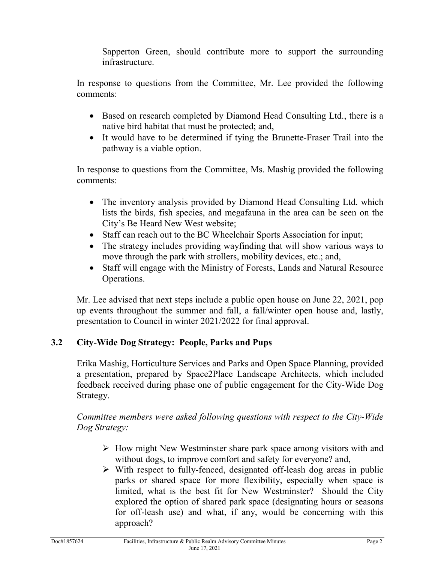Sapperton Green, should contribute more to support the surrounding infrastructure.

In response to questions from the Committee, Mr. Lee provided the following comments:

- Based on research completed by Diamond Head Consulting Ltd., there is a native bird habitat that must be protected; and,
- It would have to be determined if tying the Brunette-Fraser Trail into the pathway is a viable option.

In response to questions from the Committee, Ms. Mashig provided the following comments:

- The inventory analysis provided by Diamond Head Consulting Ltd. which lists the birds, fish species, and megafauna in the area can be seen on the City's Be Heard New West website;
- Staff can reach out to the BC Wheelchair Sports Association for input;
- The strategy includes providing wayfinding that will show various ways to move through the park with strollers, mobility devices, etc.; and,
- Staff will engage with the Ministry of Forests, Lands and Natural Resource Operations.

Mr. Lee advised that next steps include a public open house on June 22, 2021, pop up events throughout the summer and fall, a fall/winter open house and, lastly, presentation to Council in winter 2021/2022 for final approval.

# **3.2 City-Wide Dog Strategy: People, Parks and Pups**

Erika Mashig, Horticulture Services and Parks and Open Space Planning, provided a presentation, prepared by Space2Place Landscape Architects, which included feedback received during phase one of public engagement for the City-Wide Dog Strategy.

*Committee members were asked following questions with respect to the City-Wide Dog Strategy:* 

- $\triangleright$  How might New Westminster share park space among visitors with and without dogs, to improve comfort and safety for everyone? and,
- $\triangleright$  With respect to fully-fenced, designated off-leash dog areas in public parks or shared space for more flexibility, especially when space is limited, what is the best fit for New Westminster? Should the City explored the option of shared park space (designating hours or seasons for off-leash use) and what, if any, would be concerning with this approach?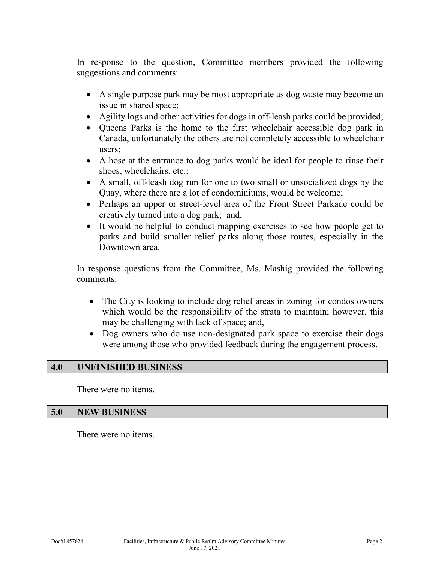In response to the question, Committee members provided the following suggestions and comments:

- A single purpose park may be most appropriate as dog waste may become an issue in shared space;
- Agility logs and other activities for dogs in off-leash parks could be provided;
- Queens Parks is the home to the first wheelchair accessible dog park in Canada, unfortunately the others are not completely accessible to wheelchair users;
- A hose at the entrance to dog parks would be ideal for people to rinse their shoes, wheelchairs, etc.;
- A small, off-leash dog run for one to two small or unsocialized dogs by the Quay, where there are a lot of condominiums, would be welcome;
- Perhaps an upper or street-level area of the Front Street Parkade could be creatively turned into a dog park; and,
- It would be helpful to conduct mapping exercises to see how people get to parks and build smaller relief parks along those routes, especially in the Downtown area.

In response questions from the Committee, Ms. Mashig provided the following comments:

- The City is looking to include dog relief areas in zoning for condos owners which would be the responsibility of the strata to maintain; however, this may be challenging with lack of space; and,
- Dog owners who do use non-designated park space to exercise their dogs were among those who provided feedback during the engagement process.

### **4.0 UNFINISHED BUSINESS**

There were no items.

#### **5.0 NEW BUSINESS**

There were no items.